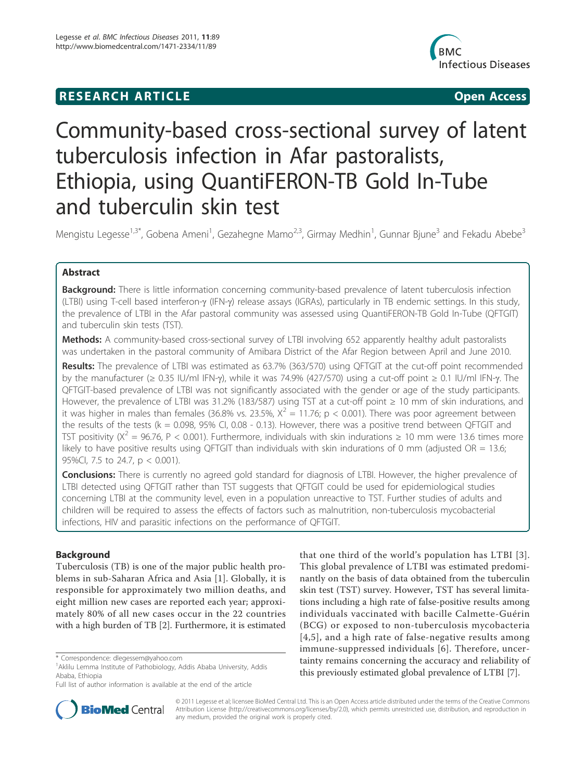# **RESEARCH ARTICLE Example 2018 CONSIDERING ACCESS**



# Community-based cross-sectional survey of latent tuberculosis infection in Afar pastoralists, Ethiopia, using QuantiFERON-TB Gold In-Tube and tuberculin skin test

Mengistu Legesse<sup>1,3\*</sup>, Gobena Ameni<sup>1</sup>, Gezahegne Mamo<sup>2,3</sup>, Girmay Medhin<sup>1</sup>, Gunnar Bjune<sup>3</sup> and Fekadu Abebe<sup>3</sup>

# Abstract

**Background:** There is little information concerning community-based prevalence of latent tuberculosis infection (LTBI) using T-cell based interferon-g (IFN-g) release assays (IGRAs), particularly in TB endemic settings. In this study, the prevalence of LTBI in the Afar pastoral community was assessed using QuantiFERON-TB Gold In-Tube (QFTGIT) and tuberculin skin tests (TST).

Methods: A community-based cross-sectional survey of LTBI involving 652 apparently healthy adult pastoralists was undertaken in the pastoral community of Amibara District of the Afar Region between April and June 2010.

Results: The prevalence of LTBI was estimated as 63.7% (363/570) using QFTGIT at the cut-off point recommended by the manufacturer ( $\geq$  0.35 IU/ml IFN- $\gamma$ ), while it was 74.9% (427/570) using a cut-off point  $\geq$  0.1 IU/ml IFN- $\gamma$ . The QFTGIT-based prevalence of LTBI was not significantly associated with the gender or age of the study participants. However, the prevalence of LTBI was 31.2% (183/587) using TST at a cut-off point ≥ 10 mm of skin indurations, and it was higher in males than females (36.8% vs. 23.5%,  $X^2 = 11.76$ ; p < 0.001). There was poor agreement between the results of the tests ( $k = 0.098$ , 95% CI, 0.08 - 0.13). However, there was a positive trend between QFTGIT and TST positivity ( $X^2 = 96.76$ , P < 0.001). Furthermore, individuals with skin indurations  $\geq 10$  mm were 13.6 times more likely to have positive results using QFTGIT than individuals with skin indurations of 0 mm (adjusted  $OR = 13.6$ ; 95%CI, 7.5 to 24.7, p < 0.001).

**Conclusions:** There is currently no agreed gold standard for diagnosis of LTBI. However, the higher prevalence of LTBI detected using QFTGIT rather than TST suggests that QFTGIT could be used for epidemiological studies concerning LTBI at the community level, even in a population unreactive to TST. Further studies of adults and children will be required to assess the effects of factors such as malnutrition, non-tuberculosis mycobacterial infections, HIV and parasitic infections on the performance of QFTGIT.

# Background

Tuberculosis (TB) is one of the major public health problems in sub-Saharan Africa and Asia [1]. Globally, it is responsible for approximately two million deaths, and eight million new cases are reported each year; approximately 80% of all new cases occur in the 22 countries with a high burden of TB [2]. Furthermore, it is estimated that one third of the world's population has LTBI [3]. This global prevalence of LTBI was estimated predominantly on the basis of data obtained from the tuberculin skin test (TST) survey. However, TST has several limitations including a high rate of false-positive results among individuals vaccinated with bacille Calmette-Guérin (BCG) or exposed to non-tuberculosis mycobacteria [4,5], and a high rate of false-negative results among immune-suppressed individuals [6]. Therefore, uncertainty remains concerning the accuracy and reliability of this previously estimated global prevalence of LTBI [7].



© 2011 Legesse et al; licensee BioMed Central Ltd. This is an Open Access article distributed under the terms of the Creative Commons Attribution License (http://creativecommons.org/licenses/by/2.0), which permits unrestricted use, distribution, and reproduction in any medium, provided the original work is properly cited.

<sup>\*</sup> Correspondence: dlegessem@yahoo.com

<sup>1</sup> Aklilu Lemma Institute of Pathobiology, Addis Ababa University, Addis Ababa, Ethiopia

Full list of author information is available at the end of the article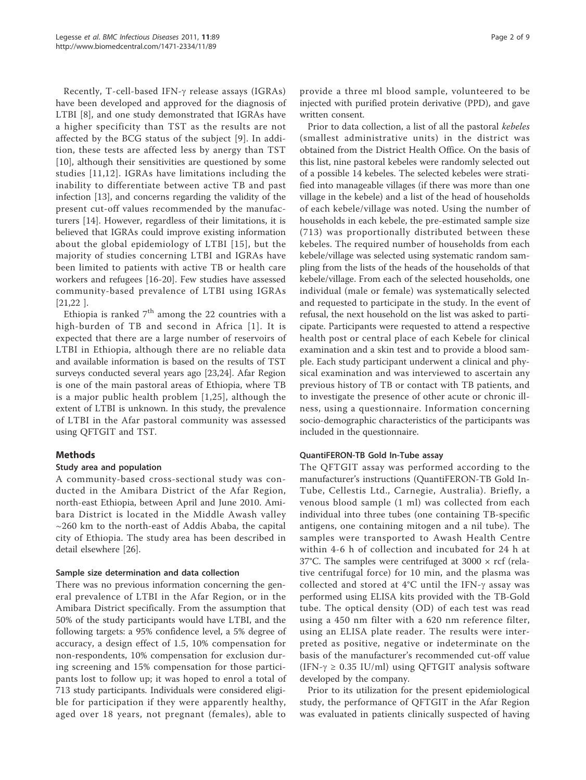Recently, T-cell-based IFN- $\gamma$  release assays (IGRAs) have been developed and approved for the diagnosis of LTBI [8], and one study demonstrated that IGRAs have a higher specificity than TST as the results are not affected by the BCG status of the subject [9]. In addition, these tests are affected less by anergy than TST [10], although their sensitivities are questioned by some studies [11,12]. IGRAs have limitations including the inability to differentiate between active TB and past infection [13], and concerns regarding the validity of the present cut-off values recommended by the manufacturers [14]. However, regardless of their limitations, it is believed that IGRAs could improve existing information about the global epidemiology of LTBI [15], but the majority of studies concerning LTBI and IGRAs have been limited to patients with active TB or health care workers and refugees [16-20]. Few studies have assessed community-based prevalence of LTBI using IGRAs [21,22 ].

Ethiopia is ranked  $7<sup>th</sup>$  among the 22 countries with a high-burden of TB and second in Africa [1]. It is expected that there are a large number of reservoirs of LTBI in Ethiopia, although there are no reliable data and available information is based on the results of TST surveys conducted several years ago [23,24]. Afar Region is one of the main pastoral areas of Ethiopia, where TB is a major public health problem [1,25], although the extent of LTBI is unknown. In this study, the prevalence of LTBI in the Afar pastoral community was assessed using QFTGIT and TST.

# Methods

## Study area and population

A community-based cross-sectional study was conducted in the Amibara District of the Afar Region, north-east Ethiopia, between April and June 2010. Amibara District is located in the Middle Awash valley  $\sim$ 260 km to the north-east of Addis Ababa, the capital city of Ethiopia. The study area has been described in detail elsewhere [26].

#### Sample size determination and data collection

There was no previous information concerning the general prevalence of LTBI in the Afar Region, or in the Amibara District specifically. From the assumption that 50% of the study participants would have LTBI, and the following targets: a 95% confidence level, a 5% degree of accuracy, a design effect of 1.5, 10% compensation for non-respondents, 10% compensation for exclusion during screening and 15% compensation for those participants lost to follow up; it was hoped to enrol a total of 713 study participants. Individuals were considered eligible for participation if they were apparently healthy, aged over 18 years, not pregnant (females), able to

provide a three ml blood sample, volunteered to be injected with purified protein derivative (PPD), and gave written consent.

Prior to data collection, a list of all the pastoral kebeles (smallest administrative units) in the district was obtained from the District Health Office. On the basis of this list, nine pastoral kebeles were randomly selected out of a possible 14 kebeles. The selected kebeles were stratified into manageable villages (if there was more than one village in the kebele) and a list of the head of households of each kebele/village was noted. Using the number of households in each kebele, the pre-estimated sample size (713) was proportionally distributed between these kebeles. The required number of households from each kebele/village was selected using systematic random sampling from the lists of the heads of the households of that kebele/village. From each of the selected households, one individual (male or female) was systematically selected and requested to participate in the study. In the event of refusal, the next household on the list was asked to participate. Participants were requested to attend a respective health post or central place of each Kebele for clinical examination and a skin test and to provide a blood sample. Each study participant underwent a clinical and physical examination and was interviewed to ascertain any previous history of TB or contact with TB patients, and to investigate the presence of other acute or chronic illness, using a questionnaire. Information concerning socio-demographic characteristics of the participants was included in the questionnaire.

#### QuantiFERON-TB Gold In-Tube assay

The QFTGIT assay was performed according to the manufacturer's instructions (QuantiFERON-TB Gold In-Tube, Cellestis Ltd., Carnegie, Australia). Briefly, a venous blood sample (1 ml) was collected from each individual into three tubes (one containing TB-specific antigens, one containing mitogen and a nil tube). The samples were transported to Awash Health Centre within 4-6 h of collection and incubated for 24 h at 37°C. The samples were centrifuged at 3000  $\times$  rcf (relative centrifugal force) for 10 min, and the plasma was collected and stored at  $4^{\circ}$ C until the IFN- $\gamma$  assay was performed using ELISA kits provided with the TB-Gold tube. The optical density (OD) of each test was read using a 450 nm filter with a 620 nm reference filter, using an ELISA plate reader. The results were interpreted as positive, negative or indeterminate on the basis of the manufacturer's recommended cut-off value (IFN- $\gamma \ge 0.35$  IU/ml) using QFTGIT analysis software developed by the company.

Prior to its utilization for the present epidemiological study, the performance of QFTGIT in the Afar Region was evaluated in patients clinically suspected of having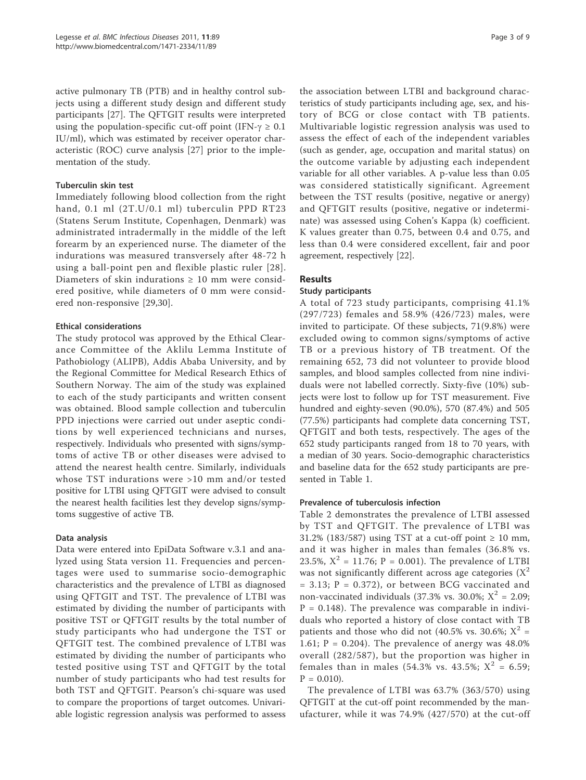active pulmonary TB (PTB) and in healthy control subjects using a different study design and different study participants [27]. The QFTGIT results were interpreted using the population-specific cut-off point (IFN- $\gamma \geq 0.1$ ) IU/ml), which was estimated by receiver operator characteristic (ROC) curve analysis [27] prior to the implementation of the study.

#### Tuberculin skin test

Immediately following blood collection from the right hand, 0.1 ml (2T.U/0.1 ml) tuberculin PPD RT23 (Statens Serum Institute, Copenhagen, Denmark) was administrated intradermally in the middle of the left forearm by an experienced nurse. The diameter of the indurations was measured transversely after 48-72 h using a ball-point pen and flexible plastic ruler [28]. Diameters of skin indurations  $\geq 10$  mm were considered positive, while diameters of 0 mm were considered non-responsive [29,30].

## Ethical considerations

The study protocol was approved by the Ethical Clearance Committee of the Aklilu Lemma Institute of Pathobiology (ALIPB), Addis Ababa University, and by the Regional Committee for Medical Research Ethics of Southern Norway. The aim of the study was explained to each of the study participants and written consent was obtained. Blood sample collection and tuberculin PPD injections were carried out under aseptic conditions by well experienced technicians and nurses, respectively. Individuals who presented with signs/symptoms of active TB or other diseases were advised to attend the nearest health centre. Similarly, individuals whose TST indurations were >10 mm and/or tested positive for LTBI using QFTGIT were advised to consult the nearest health facilities lest they develop signs/symptoms suggestive of active TB.

#### Data analysis

Data were entered into EpiData Software v.3.1 and analyzed using Stata version 11. Frequencies and percentages were used to summarise socio-demographic characteristics and the prevalence of LTBI as diagnosed using QFTGIT and TST. The prevalence of LTBI was estimated by dividing the number of participants with positive TST or QFTGIT results by the total number of study participants who had undergone the TST or QFTGIT test. The combined prevalence of LTBI was estimated by dividing the number of participants who tested positive using TST and QFTGIT by the total number of study participants who had test results for both TST and QFTGIT. Pearson's chi-square was used to compare the proportions of target outcomes. Univariable logistic regression analysis was performed to assess

the association between LTBI and background characteristics of study participants including age, sex, and history of BCG or close contact with TB patients. Multivariable logistic regression analysis was used to assess the effect of each of the independent variables (such as gender, age, occupation and marital status) on the outcome variable by adjusting each independent variable for all other variables. A p-value less than 0.05 was considered statistically significant. Agreement between the TST results (positive, negative or anergy) and QFTGIT results (positive, negative or indeterminate) was assessed using Cohen's Kappa (k) coefficient. K values greater than 0.75, between 0.4 and 0.75, and less than 0.4 were considered excellent, fair and poor agreement, respectively [22].

# Results

#### Study participants

A total of 723 study participants, comprising 41.1% (297/723) females and 58.9% (426/723) males, were invited to participate. Of these subjects, 71(9.8%) were excluded owing to common signs/symptoms of active TB or a previous history of TB treatment. Of the remaining 652, 73 did not volunteer to provide blood samples, and blood samples collected from nine individuals were not labelled correctly. Sixty-five (10%) subjects were lost to follow up for TST measurement. Five hundred and eighty-seven (90.0%), 570 (87.4%) and 505 (77.5%) participants had complete data concerning TST, QFTGIT and both tests, respectively. The ages of the 652 study participants ranged from 18 to 70 years, with a median of 30 years. Socio-demographic characteristics and baseline data for the 652 study participants are presented in Table 1.

#### Prevalence of tuberculosis infection

Table 2 demonstrates the prevalence of LTBI assessed by TST and QFTGIT. The prevalence of LTBI was 31.2% (183/587) using TST at a cut-off point  $\geq 10$  mm, and it was higher in males than females (36.8% vs. 23.5%,  $X^2 = 11.76$ ; P = 0.001). The prevalence of LTBI was not significantly different across age categories  $(X^2)$  $= 3.13; P = 0.372$ , or between BCG vaccinated and non-vaccinated individuals (37.3% vs. 30.0%;  $X^2 = 2.09$ ;  $P = 0.148$ ). The prevalence was comparable in individuals who reported a history of close contact with TB patients and those who did not (40.5% vs. 30.6%;  $X^2$  = 1.61;  $P = 0.204$ ). The prevalence of anergy was 48.0% overall (282/587), but the proportion was higher in females than in males (54.3% vs. 43.5%;  $X^2 = 6.59$ ;  $P = 0.010$ .

The prevalence of LTBI was 63.7% (363/570) using QFTGIT at the cut-off point recommended by the manufacturer, while it was 74.9% (427/570) at the cut-off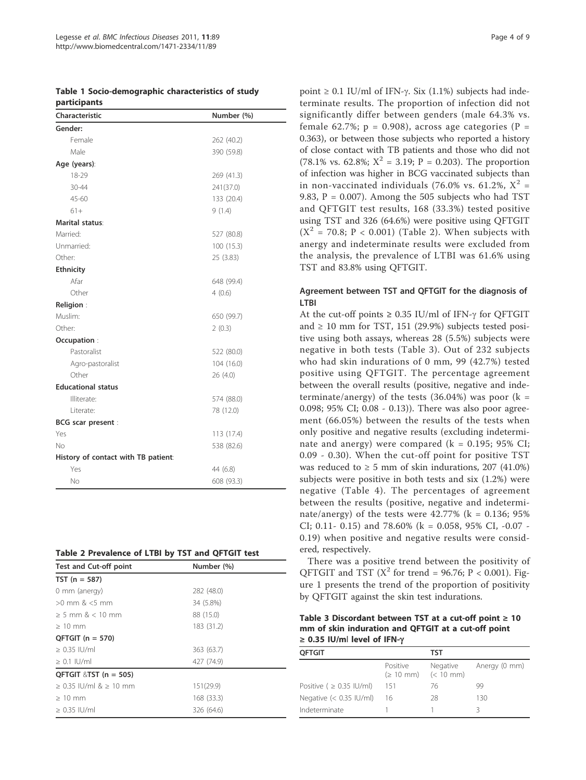|              | Table 1 Socio-demographic characteristics of study |  |
|--------------|----------------------------------------------------|--|
| participants |                                                    |  |

| Characteristic                      | Number (%) |  |  |
|-------------------------------------|------------|--|--|
| Gender:                             |            |  |  |
| Female                              | 262 (40.2) |  |  |
| Male                                | 390 (59.8) |  |  |
| Age (years):                        |            |  |  |
| 18-29                               | 269 (41.3) |  |  |
| 30-44                               | 241(37.0)  |  |  |
| 45-60                               | 133 (20.4) |  |  |
| $61+$                               | 9(1.4)     |  |  |
| Marital status:                     |            |  |  |
| Married:                            | 527 (80.8) |  |  |
| Unmarried:                          | 100(15.3)  |  |  |
| Other:                              | 25 (3.83)  |  |  |
| <b>Ethnicity</b>                    |            |  |  |
| Afar                                | 648 (99.4) |  |  |
| Other                               | 4(0.6)     |  |  |
| Religion:                           |            |  |  |
| Muslim:                             | 650 (99.7) |  |  |
| Other:                              | 2(0.3)     |  |  |
| Occupation:                         |            |  |  |
| Pastoralist                         | 522 (80.0) |  |  |
| Agro-pastoralist                    | 104(16.0)  |  |  |
| Other                               | 26(4.0)    |  |  |
| <b>Educational status</b>           |            |  |  |
| Illiterate:                         | 574 (88.0) |  |  |
| Literate:                           | 78 (12.0)  |  |  |
| <b>BCG</b> scar present :           |            |  |  |
| Yes                                 | 113 (17.4) |  |  |
| No                                  | 538 (82.6) |  |  |
| History of contact with TB patient: |            |  |  |
| Yes                                 | 44 (6.8)   |  |  |
| No                                  | 608 (93.3) |  |  |

|  |  | Table 2 Prevalence of LTBI by TST and QFTGIT test |  |  |  |  |  |  |  |
|--|--|---------------------------------------------------|--|--|--|--|--|--|--|
|--|--|---------------------------------------------------|--|--|--|--|--|--|--|

| <b>Test and Cut-off point</b> | Number (%) |
|-------------------------------|------------|
| $TST (n = 587)$               |            |
| 0 mm (anergy)                 | 282 (48.0) |
| $>0$ mm $\<5$ mm              | 34 (5.8%)  |
| $> 5$ mm $\< 10$ mm           | 88 (15.0)  |
| $>10$ mm                      | 183 (31.2) |
| $QFTGIT (n = 570)$            |            |
| $> 0.35$ IU/ml                | 363 (63.7) |
| $\geq$ 0.1 IU/ml              | 427 (74.9) |
| QFTGIT $&$ TST (n = 505)      |            |
| $> 0.35$ IU/ml $\> 10$ mm     | 151(29.9)  |
| $>10$ mm                      | 168 (33.3) |
| $\geq$ 0.35 IU/ml             | 326 (64.6) |

point  $\geq$  0.1 IU/ml of IFN-γ. Six (1.1%) subjects had indeterminate results. The proportion of infection did not significantly differ between genders (male 64.3% vs. female 62.7%;  $p = 0.908$ ), across age categories (P = 0.363), or between those subjects who reported a history of close contact with TB patients and those who did not (78.1% vs. 62.8%;  $X^2 = 3.19$ ; P = 0.203). The proportion of infection was higher in BCG vaccinated subjects than in non-vaccinated individuals (76.0% vs. 61.2%,  $X^2$  = 9.83,  $P = 0.007$ ). Among the 505 subjects who had TST and QFTGIT test results, 168 (33.3%) tested positive using TST and 326 (64.6%) were positive using QFTGIT  $(X^2 = 70.8; P < 0.001)$  (Table 2). When subjects with anergy and indeterminate results were excluded from the analysis, the prevalence of LTBI was 61.6% using TST and 83.8% using QFTGIT.

#### Agreement between TST and QFTGIT for the diagnosis of LTBI

At the cut-off points  $\geq$  0.35 IU/ml of IFN- $\gamma$  for OFTGIT and  $\geq 10$  mm for TST, 151 (29.9%) subjects tested positive using both assays, whereas 28 (5.5%) subjects were negative in both tests (Table 3). Out of 232 subjects who had skin indurations of 0 mm, 99 (42.7%) tested positive using QFTGIT. The percentage agreement between the overall results (positive, negative and indeterminate/anergy) of the tests  $(36.04%)$  was poor  $(k =$ 0.098; 95% CI; 0.08 - 0.13)). There was also poor agreement (66.05%) between the results of the tests when only positive and negative results (excluding indeterminate and anergy) were compared  $(k = 0.195; 95\% \text{ CI};$ 0.09 - 0.30). When the cut-off point for positive TST was reduced to  $\geq$  5 mm of skin indurations, 207 (41.0%) subjects were positive in both tests and six (1.2%) were negative (Table 4). The percentages of agreement between the results (positive, negative and indeterminate/anergy) of the tests were  $42.77\%$  (k = 0.136; 95%) CI; 0.11- 0.15) and 78.60% (k = 0.058, 95% CI, -0.07 - 0.19) when positive and negative results were considered, respectively.

There was a positive trend between the positivity of QFTGIT and TST ( $X^2$  for trend = 96.76; P < 0.001). Figure 1 presents the trend of the proportion of positivity by QFTGIT against the skin test indurations.

Table 3 Discordant between TST at a cut-off point  $\geq 10$ mm of skin induration and QFTGIT at a cut-off point ≥ 0.35 IU/ml level of IFN- $\gamma$ 

| <b>OFTGIT</b>                 |                                                         | TST      |               |
|-------------------------------|---------------------------------------------------------|----------|---------------|
|                               | Positive<br>$( \geq 10 \text{ mm})$ $(< 10 \text{ mm})$ | Negative | Anergy (0 mm) |
| Positive ( $\geq$ 0.35 IU/ml) | 151                                                     | 76       | 99            |
| Negative $(< 0.35$ IU/ml)     | 16                                                      | 28       | 130           |
| Indeterminate                 |                                                         |          | R             |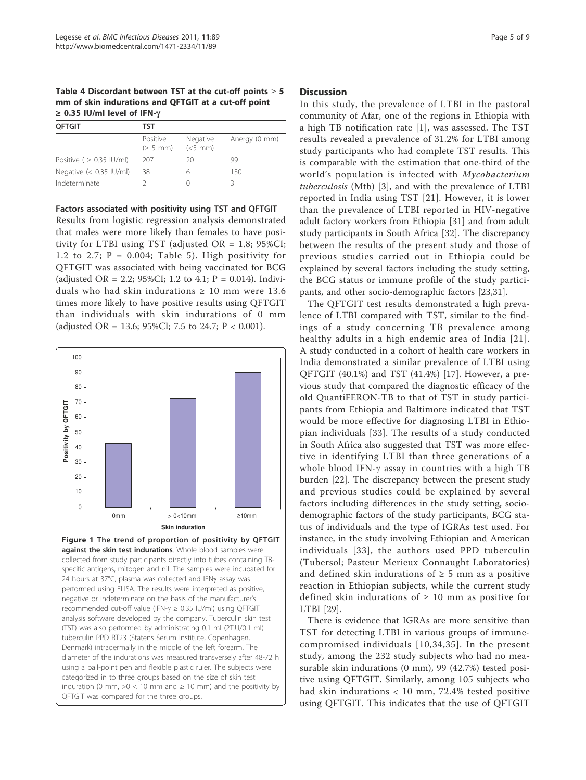Table 4 Discordant between TST at the cut-off points  $\geq 5$ mm of skin indurations and QFTGIT at a cut-off point <sup>≥</sup> 0.35 IU/ml level of IFN-g

| <b>OFTGIT</b>                 | TST                            |                       |               |
|-------------------------------|--------------------------------|-----------------------|---------------|
|                               | Positive<br>$(2.5 \text{ mm})$ | Negative<br>$(<5$ mm) | Anergy (0 mm) |
| Positive ( $\geq$ 0.35 IU/ml) | 207                            | 20                    | 99            |
| Negative $(< 0.35$ IU/ml)     | 38                             |                       | 130           |
| Indeterminate                 |                                |                       |               |

Factors associated with positivity using TST and QFTGIT

Results from logistic regression analysis demonstrated that males were more likely than females to have positivity for LTBI using TST (adjusted OR = 1.8; 95%CI; 1.2 to 2.7;  $P = 0.004$ ; Table 5). High positivity for QFTGIT was associated with being vaccinated for BCG (adjusted OR = 2.2; 95%CI; 1.2 to 4.1;  $P = 0.014$ ). Individuals who had skin indurations  $\geq 10$  mm were 13.6 times more likely to have positive results using QFTGIT than individuals with skin indurations of 0 mm (adjusted OR = 13.6; 95%CI; 7.5 to 24.7;  $P < 0.001$ ).



diameter of the indurations was measured transversely after 48-72 h using a ball-point pen and flexible plastic ruler. The subjects were categorized in to three groups based on the size of skin test induration (0 mm,  $>0$  < 10 mm and  $\geq$  10 mm) and the positivity by QFTGIT was compared for the three groups.

#### **Discussion**

In this study, the prevalence of LTBI in the pastoral community of Afar, one of the regions in Ethiopia with a high TB notification rate [1], was assessed. The TST results revealed a prevalence of 31.2% for LTBI among study participants who had complete TST results. This is comparable with the estimation that one-third of the world's population is infected with Mycobacterium tuberculosis (Mtb) [3], and with the prevalence of LTBI reported in India using TST [21]. However, it is lower than the prevalence of LTBI reported in HIV-negative adult factory workers from Ethiopia [31] and from adult study participants in South Africa [32]. The discrepancy between the results of the present study and those of previous studies carried out in Ethiopia could be explained by several factors including the study setting, the BCG status or immune profile of the study participants, and other socio-demographic factors [23,31].

The QFTGIT test results demonstrated a high prevalence of LTBI compared with TST, similar to the findings of a study concerning TB prevalence among healthy adults in a high endemic area of India [21]. A study conducted in a cohort of health care workers in India demonstrated a similar prevalence of LTBI using QFTGIT (40.1%) and TST (41.4%) [17]. However, a previous study that compared the diagnostic efficacy of the old QuantiFERON-TB to that of TST in study participants from Ethiopia and Baltimore indicated that TST would be more effective for diagnosing LTBI in Ethiopian individuals [33]. The results of a study conducted in South Africa also suggested that TST was more effective in identifying LTBI than three generations of a whole blood IFN- $\gamma$  assay in countries with a high TB burden [22]. The discrepancy between the present study and previous studies could be explained by several factors including differences in the study setting, sociodemographic factors of the study participants, BCG status of individuals and the type of IGRAs test used. For instance, in the study involving Ethiopian and American individuals [33], the authors used PPD tuberculin (Tubersol; Pasteur Merieux Connaught Laboratories) and defined skin indurations of  $\geq$  5 mm as a positive reaction in Ethiopian subjects, while the current study defined skin indurations of  $\geq 10$  mm as positive for LTBI [29].

There is evidence that IGRAs are more sensitive than TST for detecting LTBI in various groups of immunecompromised individuals [10,34,35]. In the present study, among the 232 study subjects who had no measurable skin indurations (0 mm), 99 (42.7%) tested positive using QFTGIT. Similarly, among 105 subjects who had skin indurations < 10 mm, 72.4% tested positive using QFTGIT. This indicates that the use of QFTGIT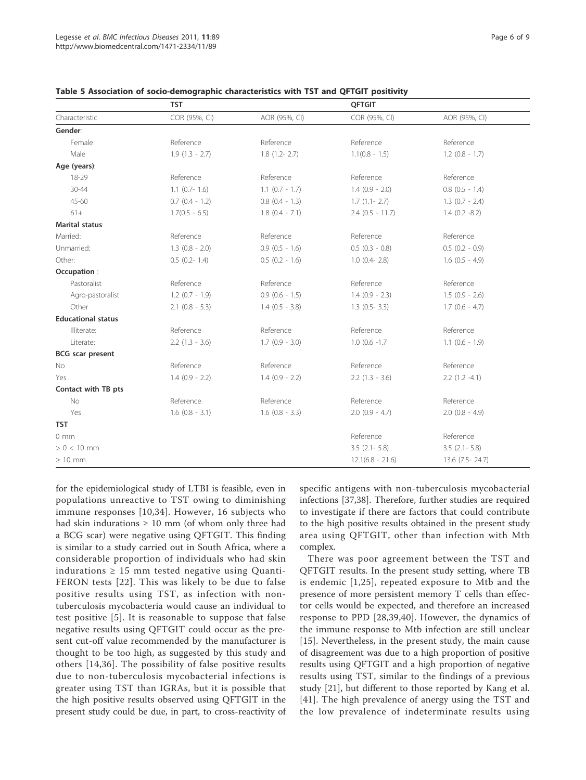|                           | <b>TST</b>          |                     | <b>QFTGIT</b>       |                     |
|---------------------------|---------------------|---------------------|---------------------|---------------------|
| Characteristic            | COR (95%, CI)       | AOR (95%, CI)       | COR (95%, CI)       | AOR (95%, CI)       |
| Gender:                   |                     |                     |                     |                     |
| Female                    | Reference           | Reference           | Reference           | Reference           |
| Male                      | $1.9(1.3 - 2.7)$    | $1.8(1.2 - 2.7)$    | $1.1(0.8 - 1.5)$    | $1.2$ (0.8 - 1.7)   |
| Age (years):              |                     |                     |                     |                     |
| 18-29                     | Reference           | Reference           | Reference           | Reference           |
| $30 - 44$                 | $1.1$ (0.7- 1.6)    | $1.1$ $(0.7 - 1.7)$ | $1.4(0.9 - 2.0)$    | $0.8$ $(0.5 - 1.4)$ |
| $45 - 60$                 | $0.7$ $(0.4 - 1.2)$ | $0.8$ $(0.4 - 1.3)$ | $1.7(1.1 - 2.7)$    | $1.3$ (0.7 - 2.4)   |
| $61+$                     | $1.7(0.5 - 6.5)$    | $1.8$ (0.4 - 7.1)   | $2.4$ (0.5 - 11.7)  | $1.4(0.2 - 8.2)$    |
| <b>Marital status:</b>    |                     |                     |                     |                     |
| Married:                  | Reference           | Reference           | Reference           | Reference           |
| Unmarried:                | $1.3$ (0.8 - 2.0)   | $0.9$ $(0.5 - 1.6)$ | $0.5$ $(0.3 - 0.8)$ | $0.5$ $(0.2 - 0.9)$ |
| Other:                    | $0.5$ (0.2-1.4)     | $0.5$ $(0.2 - 1.6)$ | $1.0$ (0.4- 2.8)    | $1.6(0.5 - 4.9)$    |
| Occupation:               |                     |                     |                     |                     |
| Pastoralist               | Reference           | Reference           | Reference           | Reference           |
| Agro-pastoralist          | $1.2(0.7 - 1.9)$    | $0.9$ $(0.6 - 1.5)$ | $1.4(0.9 - 2.3)$    | $1.5(0.9 - 2.6)$    |
| Other                     | $2.1$ (0.8 - 5.3)   | $1.4$ (0.5 - 3.8)   | $1.3$ (0.5- 3.3)    | $1.7(0.6 - 4.7)$    |
| <b>Educational status</b> |                     |                     |                     |                     |
| Illiterate:               | Reference           | Reference           | Reference           | Reference           |
| Literate:                 | $2.2(1.3 - 3.6)$    | $1.7(0.9 - 3.0)$    | $1.0$ (0.6 $-1.7$   | $1.1$ (0.6 - 1.9)   |
| <b>BCG</b> scar present   |                     |                     |                     |                     |
| No                        | Reference           | Reference           | Reference           | Reference           |
| Yes                       | $1.4(0.9 - 2.2)$    | $1.4(0.9 - 2.2)$    | $2.2$ (1.3 - 3.6)   | $2.2(1.2 -4.1)$     |
| Contact with TB pts       |                     |                     |                     |                     |
| <b>No</b>                 | Reference           | Reference           | Reference           | Reference           |
| Yes                       | $1.6$ $(0.8 - 3.1)$ | $1.6$ (0.8 - 3.3)   | $2.0$ (0.9 - 4.7)   | $2.0$ (0.8 - 4.9)   |
| <b>TST</b>                |                     |                     |                     |                     |
| $0 \text{ mm}$            |                     |                     | Reference           | Reference           |
| $> 0 < 10$ mm             |                     |                     | $3.5$ $(2.1 - 5.8)$ | $3.5$ $(2.1 - 5.8)$ |
| $\geq 10$ mm              |                     |                     | $12.1(6.8 - 21.6)$  | 13.6 (7.5 - 24.7)   |

Table 5 Association of socio-demographic characteristics with TST and QFTGIT positivity

for the epidemiological study of LTBI is feasible, even in populations unreactive to TST owing to diminishing immune responses [10,34]. However, 16 subjects who had skin indurations  $\geq 10$  mm (of whom only three had a BCG scar) were negative using QFTGIT. This finding is similar to a study carried out in South Africa, where a considerable proportion of individuals who had skin indurations  $\geq 15$  mm tested negative using Quanti-FERON tests [22]. This was likely to be due to false positive results using TST, as infection with nontuberculosis mycobacteria would cause an individual to test positive [5]. It is reasonable to suppose that false negative results using QFTGIT could occur as the present cut-off value recommended by the manufacturer is thought to be too high, as suggested by this study and others [14,36]. The possibility of false positive results due to non-tuberculosis mycobacterial infections is greater using TST than IGRAs, but it is possible that the high positive results observed using QFTGIT in the present study could be due, in part, to cross-reactivity of

specific antigens with non-tuberculosis mycobacterial infections [37,38]. Therefore, further studies are required to investigate if there are factors that could contribute to the high positive results obtained in the present study area using QFTGIT, other than infection with Mtb complex.

There was poor agreement between the TST and QFTGIT results. In the present study setting, where TB is endemic [1,25], repeated exposure to Mtb and the presence of more persistent memory T cells than effector cells would be expected, and therefore an increased response to PPD [28,39,40]. However, the dynamics of the immune response to Mtb infection are still unclear [15]. Nevertheless, in the present study, the main cause of disagreement was due to a high proportion of positive results using QFTGIT and a high proportion of negative results using TST, similar to the findings of a previous study [21], but different to those reported by Kang et al. [41]. The high prevalence of anergy using the TST and the low prevalence of indeterminate results using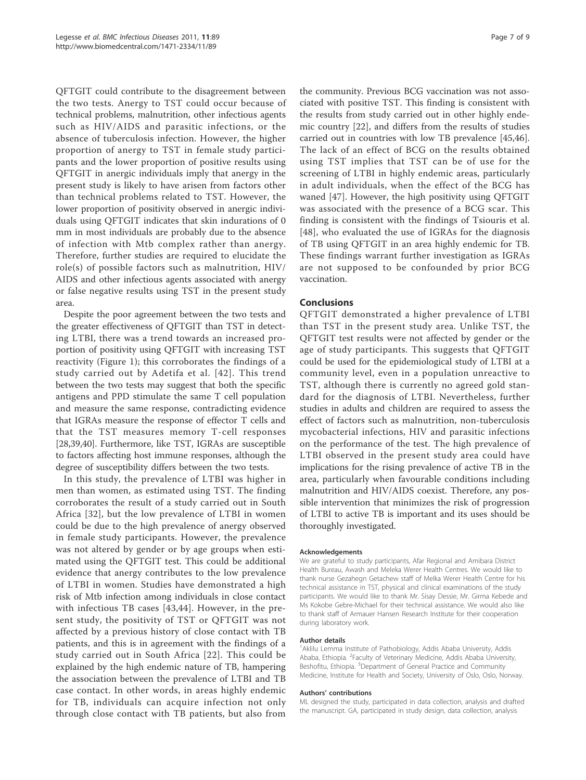QFTGIT could contribute to the disagreement between the two tests. Anergy to TST could occur because of technical problems, malnutrition, other infectious agents such as HIV/AIDS and parasitic infections, or the absence of tuberculosis infection. However, the higher proportion of anergy to TST in female study participants and the lower proportion of positive results using QFTGIT in anergic individuals imply that anergy in the present study is likely to have arisen from factors other than technical problems related to TST. However, the lower proportion of positivity observed in anergic individuals using QFTGIT indicates that skin indurations of 0 mm in most individuals are probably due to the absence of infection with Mtb complex rather than anergy. Therefore, further studies are required to elucidate the role(s) of possible factors such as malnutrition, HIV/ AIDS and other infectious agents associated with anergy or false negative results using TST in the present study area.

Despite the poor agreement between the two tests and the greater effectiveness of QFTGIT than TST in detecting LTBI, there was a trend towards an increased proportion of positivity using QFTGIT with increasing TST reactivity (Figure 1); this corroborates the findings of a study carried out by Adetifa et al. [42]. This trend between the two tests may suggest that both the specific antigens and PPD stimulate the same T cell population and measure the same response, contradicting evidence that IGRAs measure the response of effector T cells and that the TST measures memory T-cell responses [28,39,40]. Furthermore, like TST, IGRAs are susceptible to factors affecting host immune responses, although the degree of susceptibility differs between the two tests.

In this study, the prevalence of LTBI was higher in men than women, as estimated using TST. The finding corroborates the result of a study carried out in South Africa [32], but the low prevalence of LTBI in women could be due to the high prevalence of anergy observed in female study participants. However, the prevalence was not altered by gender or by age groups when estimated using the QFTGIT test. This could be additional evidence that anergy contributes to the low prevalence of LTBI in women. Studies have demonstrated a high risk of Mtb infection among individuals in close contact with infectious TB cases [43,44]. However, in the present study, the positivity of TST or QFTGIT was not affected by a previous history of close contact with TB patients, and this is in agreement with the findings of a study carried out in South Africa [22]. This could be explained by the high endemic nature of TB, hampering the association between the prevalence of LTBI and TB case contact. In other words, in areas highly endemic for TB, individuals can acquire infection not only through close contact with TB patients, but also from

the community. Previous BCG vaccination was not associated with positive TST. This finding is consistent with the results from study carried out in other highly endemic country [22], and differs from the results of studies carried out in countries with low TB prevalence [45,46]. The lack of an effect of BCG on the results obtained using TST implies that TST can be of use for the screening of LTBI in highly endemic areas, particularly in adult individuals, when the effect of the BCG has waned [47]. However, the high positivity using QFTGIT was associated with the presence of a BCG scar. This finding is consistent with the findings of Tsiouris et al. [48], who evaluated the use of IGRAs for the diagnosis of TB using QFTGIT in an area highly endemic for TB. These findings warrant further investigation as IGRAs are not supposed to be confounded by prior BCG vaccination.

## Conclusions

QFTGIT demonstrated a higher prevalence of LTBI than TST in the present study area. Unlike TST, the QFTGIT test results were not affected by gender or the age of study participants. This suggests that QFTGIT could be used for the epidemiological study of LTBI at a community level, even in a population unreactive to TST, although there is currently no agreed gold standard for the diagnosis of LTBI. Nevertheless, further studies in adults and children are required to assess the effect of factors such as malnutrition, non-tuberculosis mycobacterial infections, HIV and parasitic infections on the performance of the test. The high prevalence of LTBI observed in the present study area could have implications for the rising prevalence of active TB in the area, particularly when favourable conditions including malnutrition and HIV/AIDS coexist. Therefore, any possible intervention that minimizes the risk of progression of LTBI to active TB is important and its uses should be thoroughly investigated.

#### Acknowledgements

We are grateful to study participants, Afar Regional and Amibara District Health Bureau, Awash and Meleka Werer Health Centres. We would like to thank nurse Gezahegn Getachew staff of Melka Werer Health Centre for his technical assistance in TST, physical and clinical examinations of the study participants. We would like to thank Mr. Sisay Dessie, Mr. Girma Kebede and Ms Kokobe Gebre-Michael for their technical assistance. We would also like to thank staff of Armauer Hansen Research Institute for their cooperation during laboratory work.

#### Author details

<sup>1</sup> Aklilu Lemma Institute of Pathobiology, Addis Ababa University, Addis Ababa, Ethiopia. <sup>2</sup> Faculty of Veterinary Medicine, Addis Ababa University Beshofitu, Ethiopia. <sup>3</sup>Department of General Practice and Community Medicine, Institute for Health and Society, University of Oslo, Oslo, Norway.

#### Authors' contributions

ML designed the study, participated in data collection, analysis and drafted the manuscript. GA, participated in study design, data collection, analysis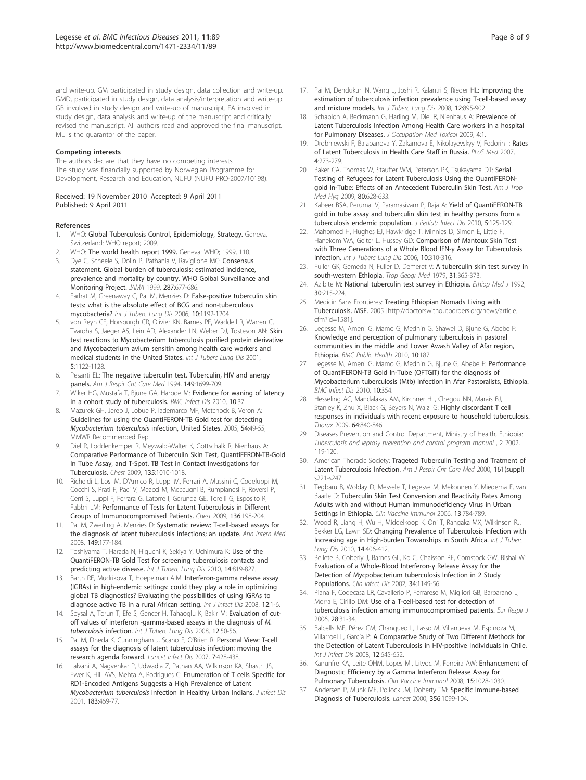and write-up. GM participated in study design, data collection and write-up. GMD, participated in study design, data analysis/interpretation and write-up. GB involved in study design and write-up of manuscript. FA involved in study design, data analysis and write-up of the manuscript and critically revised the manuscript. All authors read and approved the final manuscript. ML is the guarantor of the paper.

#### Competing interests

The authors declare that they have no competing interests. The study was financially supported by Norwegian Programme for Development, Research and Education, NUFU (NUFU PRO-2007/10198).

Received: 19 November 2010 Accepted: 9 April 2011 Published: 9 April 2011

#### References

- 1. WHO: Global Tuberculosis Control, Epidemiology, Strategy. Geneva, Switzerland: WHO report; 2009.
- WHO: The world health report 1999. Geneva: WHO; 1999, 110.
- 3. Dye C, Scheele S, Dolin P, Pathania V, Raviglione MC: Consensus statement. Global burden of tuberculosis: estimated incidence, prevalence and mortality by country. WHO Golbal Surveillance and Monitoring Project. JAMA 1999, 287:677-686.
- 4. Farhat M, Greenaway C, Pai M, Menzies D: False-positive tuberculin skin tests: what is the absolute effect of BCG and non-tuberculous mycobacteria? Int J Tuberc Lung Dis 2006, 10:1192-1204.
- von Reyn CF, Horsburgh CR, Olivier KN, Barnes PF, Waddell R, Warren C, Tvaroha S, Jaeger AS, Lein AD, Alexander LN, Weber DJ, Tosteson AN: Skin test reactions to Mycobacterium tuberculosis purified protein derivative and Mycobacterium avium sensitin among health care workers and medical students in the United States. Int J Tuberc Lung Dis 2001, 5:1122-1128.
- 6. Pesanti EL: The negative tuberculin test. Tuberculin, HIV and anergy panels. Am J Respir Crit Care Med 1994, 149:1699-709.
- 7. Wiker HG, Mustafa T, Bjune GA, Harboe M: Evidence for waning of latency in a cohort study of tuberculosis. BMC Infect Dis 2010, 10:37.
- Mazurek GH, Jereb J, Lobue P, Iademarco MF, Metchock B, Veron A: Guidelines for using the QuantiFERON-TB Gold test for detecting Mycobacterium tuberculosis infection, United States. 2005, 54:49-55, MMWR Recommended Rep.
- Diel R, Loddenkemper R, Meywald-Walter K, Gottschalk R, Nienhaus A: Comparative Performance of Tuberculin Skin Test, QuantiFERON-TB-Gold In Tube Assay, and T-Spot. TB Test in Contact Investigations for Tuberculosis. Chest 2009, 135:1010-1018.
- 10. Richeldi L, Losi M, D'Amico R, Luppi M, Ferrari A, Mussini C, Codeluppi M, Cocchi S, Prati F, Paci V, Meacci M, Meccugni B, Rumpianesi F, Roversi P, Cerri S, Luppi F, Ferrara G, Latorre I, Gerunda GE, Torelli G, Esposito R, Fabbri LM: Performance of Tests for Latent Tuberculosis in Different Groups of Immunocompromised Patients. Chest 2009, 136:198-204.
- 11. Pai M, Zwerling A, Menzies D: Systematic review: T-cell-based assays for the diagnosis of latent tuberculosis infections; an update. Ann Intern Med 2008, 149:177-184.
- 12. Toshiyama T, Harada N, Higuchi K, Sekiya Y, Uchimura K: Use of the QuantiFERON-TB Gold Test for screening tuberculosis contacts and predicting active disease. Int J Tuberc Lung Dis 2010, 14:819-827.
- 13. Barth RE, Mudrikova T, Hoepelman AIM: Interferon-gamma release assay (IGRAs) in high-endemic settings: could they play a role in optimizing global TB diagnostics? Evaluating the possibilities of using IGRAs to diagnose active TB in a rural African setting. Int J Infect Dis 2008, 12:1-6.
- 14. Soysal A, Torun T, Efe S, Gencer H, Tahaoglu K, Bakir M: Evaluation of cutoff values of interferon -gamma-based assays in the diagnosis of M. tuberculosis infection. Int J Tuberc Lung Dis 2008, 12:50-56.
- 15. Pai M, Dheda K, Cunningham J, Scano F, O'Brien R: Personal View: T-cell assays for the diagnosis of latent tuberculosis infection: moving the research agenda forward. Lancet Infect Dis 2007, 7:428-438.
- 16. Lalvani A, Nagvenkar P, Udwadia Z, Pathan AA, Wilkinson KA, Shastri JS, Ewer K, Hill AVS, Mehta A, Rodrigues C: Enumeration of T cells Specific for RD1-Encoded Antigens Suggests a High Prevalence of Latent Mycobacterium tuberculosis Infection in Healthy Urban Indians. J Infect Dis 2001, 183:469-77.
- 17. Pai M, Dendukuri N, Wang L, Joshi R, Kalantri S, Rieder HL: Improving the estimation of tuberculosis infection prevalence using T-cell-based assay and mixture models. Int J Tuberc Lung Dis 2008, 12:895-902.
- 18. Schablon A, Beckmann G, Harling M, Diel R, Nienhaus A: Prevalence of Latent Tuberculosis Infection Among Health Care workers in a hospital for Pulmonary Diseases. J Occupation Med Toxicol 2009, 4:1.
- 19. Drobniewski F, Balabanova Y, Zakamova E, Nikolayevskyy V, Fedorin I: Rates of Latent Tuberculosis in Health Care Staff in Russia. PLoS Med 2007, 4:273-279.
- 20. Baker CA, Thomas W, Stauffer WM, Peterson PK, Tsukayama DT: Serial Testing of Refugees for Latent Tuberculosis Using the QuantiFERONgold In-Tube: Effects of an Antecedent Tuberculin Skin Test. Am J Trop Med Hyg 2009, 80:628-633.
- 21. Kabeer BSA, Perumal V, Paramasivam P, Raja A: Yield of QuantiFERON-TB gold in tube assay and tuberculin skin test in healthy persons from a tuberculosis endemic population. J Pediatr Infect Dis 2010, 5:125-129.
- 22. Mahomed H, Hughes EJ, Hawkridge T, Minnies D, Simon E, Little F, Hanekom WA, Geiter L, Hussey GD: Comparison of Mantoux Skin Test with Three Generations of a Whole Blood IFN-γ Assay for Tuberculosis Infection. Int J Tuberc Lung Dis 2006, 10:310-316.
- 23. Fuller GK, Gemeda N, Fuller D, Demeret V: A tuberculin skin test survey in south-western Ethiopia. Trop Geogr Med 1979, 31:365-373.
- 24. Azibite M: National tuberculin test survey in Ethiopia. Ethiop Med J 1992, 30:215-224.
- 25. Medicin Sans Frontieres: Treating Ethiopian Nomads Living with Tuberculosis. MSF. 2005 [http://doctorswithoutborders.org/news/article. cfm?id=1581].
- 26. Legesse M, Ameni G, Mamo G, Medhin G, Shawel D, Bjune G, Abebe F: Knowledge and perception of pulmonary tuberculosis in pastoral communities in the middle and Lower Awash Valley of Afar region, Ethiopia. BMC Public Health 2010, 10:187.
- 27. Legesse M, Ameni G, Mamo G, Medhin G, Bjune G, Abebe F: Performance of QuantiFERON-TB Gold In-Tube (QFTGIT) for the diagnosis of Mycobacterium tuberculosis (Mtb) infection in Afar Pastoralists, Ethiopia. BMC Infect Dis 2010, 10:354.
- 28. Hesseling AC, Mandalakas AM, Kirchner HL, Chegou NN, Marais BJ, Stanley K, Zhu X, Black G, Beyers N, Walzl G: Highly discordant T cell responses in individuals with recent exposure to household tuberculosis. Thorax 2009, 64:840-846.
- 29. Diseases Prevention and Control Department, Ministry of Health, Ethiopia: Tuberculosis and leprosy prevention and control program manual , 2 2002, 119-120.
- 30. American Thoracic Society: Trageted Tuberculin Testing and Tratment of Latent Tuberculosis Infection. Am J Respir Crit Care Med 2000, 161(suppl): s221-s247.
- 31. Tegbaru B, Wolday D, Messele T, Legesse M, Mekonnen Y, Miedema F, van Baarle D: Tuberculin Skin Test Conversion and Reactivity Rates Among Adults with and without Human Immunodeficiency Virus in Urban Settings in Ethiopia. Clin Vaccine Immunol 2006, 13:784-789.
- 32. Wood R, Liang H, Wu H, Middelkoop K, Oni T, Rangaka MX, Wilkinson RJ, Bekker LG, Lawn SD: Changing Prevalence of Tuberculosis Infection with Increasing age in High-burden Towanships in South Africa. Int J Tuberc Lung Dis 2010, 14:406-412.
- 33. Bellete B, Coberly J, Barnes GL, Ko C, Chaisson RE, Comstock GW, Bishai W: Evaluation of a Whole-Blood Interferon-γ Release Assay for the Detection of Mycpobacterium tuberculosis Infection in 2 Study Populations. Clin Infect Dis 2002, 34:1149-56.
- 34. Piana F, Codecasa LR, Cavallerio P, Ferrarese M, Migliori GB, Barbarano L, Morra E, Cirillo DM: Use of a T-cell-based test for detection of tuberculosis infection among immunocompromised patients. Eur Respir J 2006, 28:31-34.
- 35. Balcells ME, Pérez CM, Chanqueo L, Lasso M, Villanueva M, Espinoza M, Villarroel L, García P: A Comparative Study of Two Different Methods for the Detection of Latent Tuberculosis in HIV-positive Individuals in Chile. Int J Infect Dis 2008, 12:645-652.
- 36. Kanunfre KA, Leite OHM, Lopes MI, Litvoc M, Ferreira AW: Enhancement of Diagnostic Efficiency by a Gamma Interferon Release Assay for Pulmonary Tuberculosis. Clin Vaccine Immunol 2008, 15:1028-1030
- 37. Andersen P, Munk ME, Pollock JM, Doherty TM: Specific Immune-based Diagnosis of Tuberculosis. Lancet 2000, 356:1099-104.